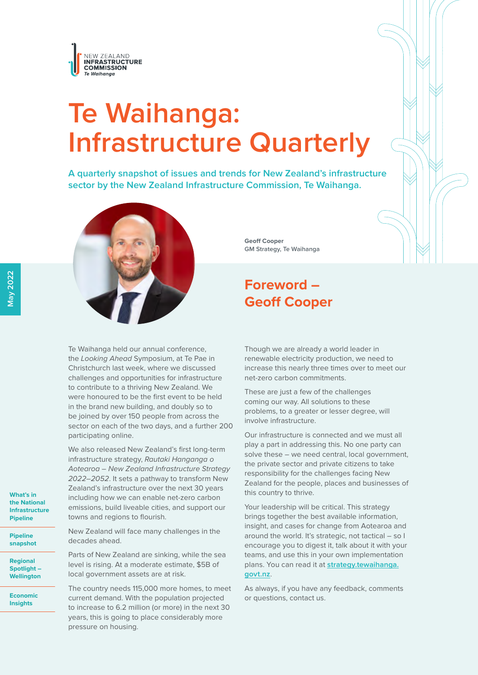

# **Te Waihanga: Infrastructure Quarterly**

**A quarterly snapshot of issues and trends for New Zealand's infrastructure sector by the New Zealand Infrastructure Commission, Te Waihanga.**



Te Waihanga held our annual conference, the *Looking Ahead* Symposium, at Te Pae in Christchurch last week, where we discussed challenges and opportunities for infrastructure to contribute to a thriving New Zealand. We were honoured to be the first event to be held in the brand new building, and doubly so to be joined by over 150 people from across the sector on each of the two days, and a further 200 participating online.

We also released New Zealand's first long-term infrastructure strategy, *Rautaki Hanganga o Aotearoa – New Zealand Infrastructure Strategy 2022–2052*. It sets a pathway to transform New Zealand's infrastructure over the next 30 years including how we can enable net-zero carbon emissions, build liveable cities, and support our towns and regions to flourish.

New Zealand will face many challenges in the decades ahead.

Parts of New Zealand are sinking, while the sea level is rising. At a moderate estimate, \$5B of local government assets are at risk.

The country needs 115,000 more homes, to meet current demand. With the population projected to increase to 6.2 million (or more) in the next 30 years, this is going to place considerably more pressure on housing.

**Geoff Cooper GM Strategy, Te Waihanga**

## **Foreword – Geoff Cooper**

Though we are already a world leader in renewable electricity production, we need to increase this nearly three times over to meet our net-zero carbon commitments.

These are just a few of the challenges coming our way. All solutions to these problems, to a greater or lesser degree, will involve infrastructure.

Our infrastructure is connected and we must all play a part in addressing this. No one party can solve these – we need central, local government, the private sector and private citizens to take responsibility for the challenges facing New Zealand for the people, places and businesses of this country to thrive.

Your leadership will be critical. This strategy brings together the best available information, insight, and cases for change from Aotearoa and around the world. It's strategic, not tactical – so I encourage you to digest it, talk about it with your teams, and use this in your own implementation plans. You can read it at **strategy.tewaihanga. govt.nz**.

As always, if you have any feedback, comments or questions, contact us.

**What's in the National [Infrastructure](#page-1-0)  Pipeline**

**Pipeline [snapshot](#page-1-0)**

**Regional [Spotlight –](#page-3-0)  Wellington** 

**[Economic](#page-6-0)  Insights**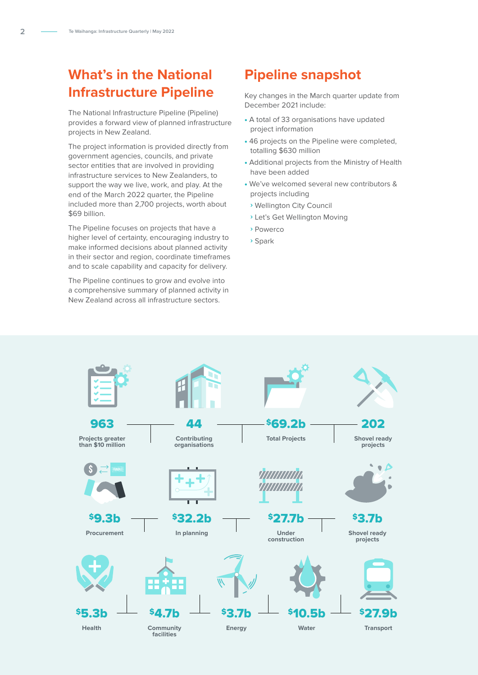# <span id="page-1-0"></span>**What's in the National Infrastructure Pipeline**

The National Infrastructure Pipeline (Pipeline) provides a forward view of planned infrastructure projects in New Zealand.

The project information is provided directly from government agencies, councils, and private sector entities that are involved in providing infrastructure services to New Zealanders, to support the way we live, work, and play. At the end of the March 2022 quarter, the Pipeline included more than 2,700 projects, worth about \$69 billion.

The Pipeline focuses on projects that have a higher level of certainty, encouraging industry to make informed decisions about planned activity in their sector and region, coordinate timeframes and to scale capability and capacity for delivery.

The Pipeline continues to grow and evolve into a comprehensive summary of planned activity in New Zealand across all infrastructure sectors.

## **Pipeline snapshot**

Key changes in the March quarter update from December 2021 include:

- A total of 33 organisations have updated project information
- 46 projects on the Pipeline were completed, totalling \$630 million
- Additional projects from the Ministry of Health have been added
- We've welcomed several new contributors & projects including
	- **›** Wellington City Council
	- **›** Let's Get Wellington Moving
	- **›** Powerco
	- **›** Spark

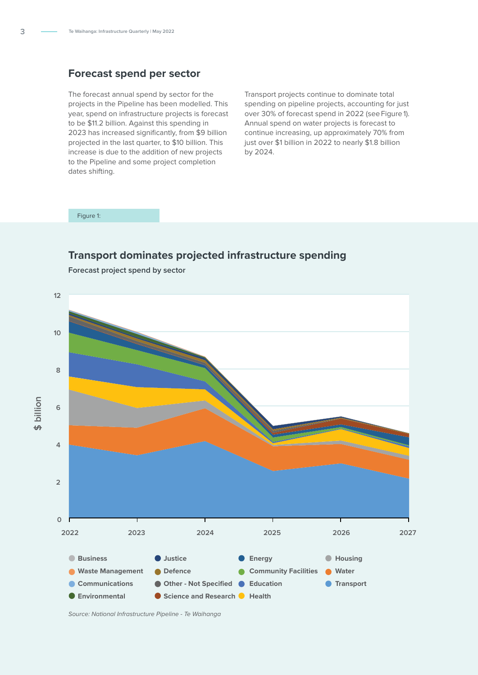#### **Forecast spend per sector**

The forecast annual spend by sector for the projects in the Pipeline has been modelled. This year, spend on infrastructure projects is forecast to be \$11.2 billion. Against this spending in 2023 has increased significantly, from \$9 billion projected in the last quarter, to \$10 billion. This increase is due to the addition of new projects to the Pipeline and some project completion dates shifting.

Transport projects continue to dominate total spending on pipeline projects, accounting for just over 30% of forecast spend in 2022 (see Figure 1). Annual spend on water projects is forecast to continue increasing, up approximately 70% from just over \$1 billion in 2022 to nearly \$1.8 billion by 2024.

#### Figure 1:

### **Transport dominates projected infrastructure spending**

**12 10 8 \$ billion 6 4 2 0 2022 2023 2024 2025 2026 2027Justice Business Energy Housing Waste Management Defence Community Facilities Water**  $\bullet$ **Communications O** Transport **Other - Not Specified Education Environmental Science and Research C** Health

**Forecast project spend by sector**

*Source: National Infrastructure Pipeline - Te Waihanga*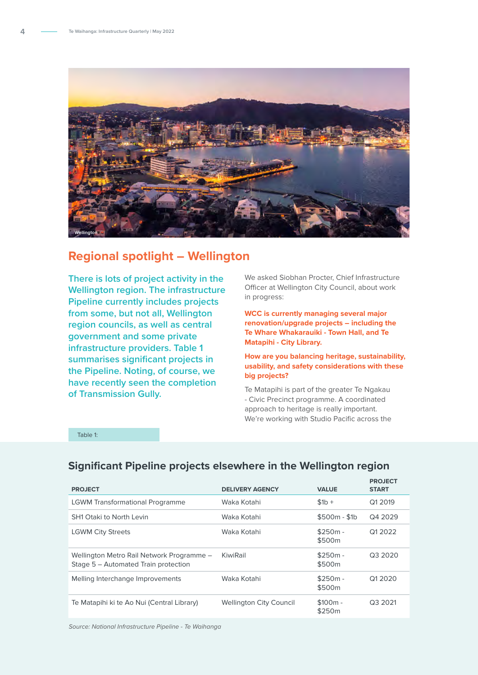<span id="page-3-0"></span>

## **Regional spotlight – Wellington**

**There is lots of project activity in the Wellington region. The infrastructure Pipeline currently includes projects from some, but not all, Wellington region councils, as well as central government and some private infrastructure providers. Table 1 summarises significant projects in the Pipeline. Noting, of course, we have recently seen the completion of Transmission Gully.** 

We asked Siobhan Procter, Chief Infrastructure Officer at Wellington City Council, about work in progress:

**WCC is currently managing several major renovation/upgrade projects – including the Te Whare Whakarauiki - Town Hall, and Te Matapihi - City Library.** 

**How are you balancing heritage, sustainability, usability, and safety considerations with these big projects?** 

Te Matapihi is part of the greater Te Ngakau - Civic Precinct programme. A coordinated approach to heritage is really important. We're working with Studio Pacific across the

Table 1:

| <b>PROJECT</b>                                                                    | <b>DELIVERY AGENCY</b>         | <b>VALUE</b>        | <b>PROJECT</b><br><b>START</b> |
|-----------------------------------------------------------------------------------|--------------------------------|---------------------|--------------------------------|
| <b>LGWM Transformational Programme</b>                                            | Waka Kotahi                    | $$1b +$             | Q1 2019                        |
| <b>SH1 Otaki to North Levin</b>                                                   | Waka Kotahi                    | $$500m - $1b$       | Q4 2029                        |
| <b>LGWM City Streets</b>                                                          | Waka Kotahi                    | $$250m -$<br>\$500m | Q1 2022                        |
| Wellington Metro Rail Network Programme -<br>Stage 5 - Automated Train protection | KiwiRail                       | $$250m -$<br>\$500m | Q3 2020                        |
| Melling Interchange Improvements                                                  | Waka Kotahi                    | $$250m -$<br>\$500m | Q1 20 20                       |
| Te Matapihi ki te Ao Nui (Central Library)                                        | <b>Wellington City Council</b> | $$100m -$<br>\$250m | Q3 2021                        |

## **Significant Pipeline projects elsewhere in the Wellington region**

*Source: National Infrastructure Pipeline - Te Waihanga*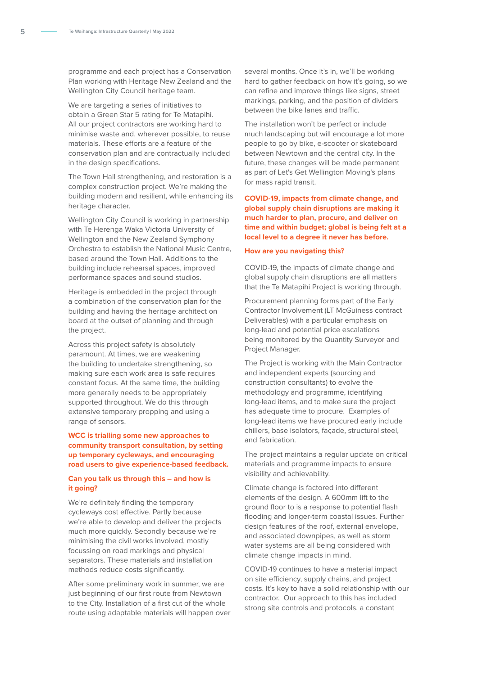programme and each project has a Conservation Plan working with Heritage New Zealand and the Wellington City Council heritage team.

We are targeting a series of initiatives to obtain a Green Star 5 rating for Te Matapihi. All our project contractors are working hard to minimise waste and, wherever possible, to reuse materials. These efforts are a feature of the conservation plan and are contractually included in the design specifications.

The Town Hall strengthening, and restoration is a complex construction project. We're making the building modern and resilient, while enhancing its heritage character.

Wellington City Council is working in partnership with Te Herenga Waka Victoria University of Wellington and the New Zealand Symphony Orchestra to establish the National Music Centre, based around the Town Hall. Additions to the building include rehearsal spaces, improved performance spaces and sound studios.

Heritage is embedded in the project through a combination of the conservation plan for the building and having the heritage architect on board at the outset of planning and through the project.

Across this project safety is absolutely paramount. At times, we are weakening the building to undertake strengthening, so making sure each work area is safe requires constant focus. At the same time, the building more generally needs to be appropriately supported throughout. We do this through extensive temporary propping and using a range of sensors.

#### **WCC is trialling some new approaches to community transport consultation, by setting up temporary cycleways, and encouraging road users to give experience-based feedback.**

#### **Can you talk us through this – and how is it going?**

We're definitely finding the temporary cycleways cost effective. Partly because we're able to develop and deliver the projects much more quickly. Secondly because we're minimising the civil works involved, mostly focussing on road markings and physical separators. These materials and installation methods reduce costs significantly.

After some preliminary work in summer, we are just beginning of our first route from Newtown to the City. Installation of a first cut of the whole route using adaptable materials will happen over

several months. Once it's in, we'll be working hard to gather feedback on how it's going, so we can refine and improve things like signs, street markings, parking, and the position of dividers between the bike lanes and traffic.

The installation won't be perfect or include much landscaping but will encourage a lot more people to go by bike, e-scooter or skateboard between Newtown and the central city. In the future, these changes will be made permanent as part of Let's Get Wellington Moving's plans for mass rapid transit.

#### **COVID-19, impacts from climate change, and global supply chain disruptions are making it much harder to plan, procure, and deliver on time and within budget; global is being felt at a local level to a degree it never has before.**

#### **How are you navigating this?**

COVID-19, the impacts of climate change and global supply chain disruptions are all matters that the Te Matapihi Project is working through.

Procurement planning forms part of the Early Contractor Involvement (LT McGuiness contract Deliverables) with a particular emphasis on long-lead and potential price escalations being monitored by the Quantity Surveyor and Project Manager.

The Project is working with the Main Contractor and independent experts (sourcing and construction consultants) to evolve the methodology and programme, identifying long-lead items, and to make sure the project has adequate time to procure. Examples of long-lead items we have procured early include chillers, base isolators, façade, structural steel, and fabrication.

The project maintains a regular update on critical materials and programme impacts to ensure visibility and achievability.

Climate change is factored into different elements of the design. A 600mm lift to the ground floor to is a response to potential flash flooding and longer-term coastal issues. Further design features of the roof, external envelope, and associated downpipes, as well as storm water systems are all being considered with climate change impacts in mind.

COVID-19 continues to have a material impact on site efficiency, supply chains, and project costs. It's key to have a solid relationship with our contractor. Our approach to this has included strong site controls and protocols, a constant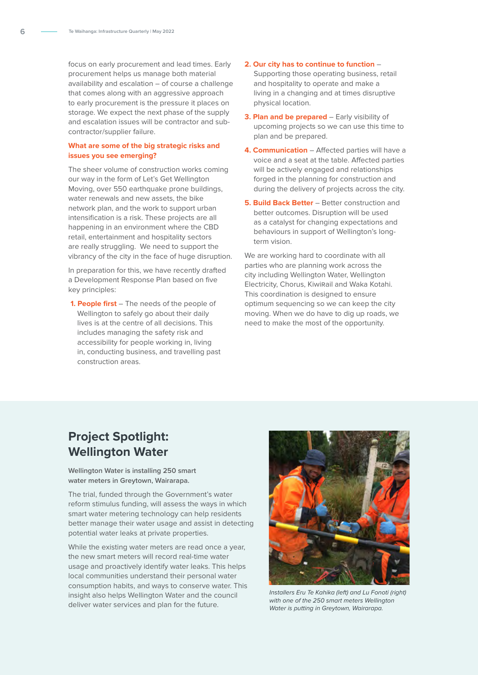focus on early procurement and lead times. Early procurement helps us manage both material availability and escalation – of course a challenge that comes along with an aggressive approach to early procurement is the pressure it places on storage. We expect the next phase of the supply and escalation issues will be contractor and subcontractor/supplier failure.

#### **What are some of the big strategic risks and issues you see emerging?**

The sheer volume of construction works coming our way in the form of Let's Get Wellington Moving, over 550 earthquake prone buildings, water renewals and new assets, the bike network plan, and the work to support urban intensification is a risk. These projects are all happening in an environment where the CBD retail, entertainment and hospitality sectors are really struggling. We need to support the vibrancy of the city in the face of huge disruption.

In preparation for this, we have recently drafted a Development Response Plan based on five key principles:

**1. People first** – The needs of the people of Wellington to safely go about their daily lives is at the centre of all decisions. This includes managing the safety risk and accessibility for people working in, living in, conducting business, and travelling past construction areas.

#### **2. Our city has to continue to function** –

Supporting those operating business, retail and hospitality to operate and make a living in a changing and at times disruptive physical location.

- **3. Plan and be prepared** Early visibility of upcoming projects so we can use this time to plan and be prepared.
- **4. Communication** Affected parties will have a voice and a seat at the table. Affected parties will be actively engaged and relationships forged in the planning for construction and during the delivery of projects across the city.
- **5. Build Back Better** Better construction and better outcomes. Disruption will be used as a catalyst for changing expectations and behaviours in support of Wellington's longterm vision.

We are working hard to coordinate with all parties who are planning work across the city including Wellington Water, Wellington Electricity, Chorus, KiwiRail and Waka Kotahi. This coordination is designed to ensure optimum sequencing so we can keep the city moving. When we do have to dig up roads, we need to make the most of the opportunity.

## **Project Spotlight: Wellington Water**

#### **Wellington Water is installing 250 smart water meters in Greytown, Wairarapa.**

The trial, funded through the Government's water reform stimulus funding, will assess the ways in which smart water metering technology can help residents better manage their water usage and assist in detecting potential water leaks at private properties.

While the existing water meters are read once a year, the new smart meters will record real-time water usage and proactively identify water leaks. This helps local communities understand their personal water consumption habits, and ways to conserve water. This insight also helps Wellington Water and the council deliver water services and plan for the future.



*Installers Eru Te Kahika (left) and Lu Fonoti (right) with one of the 250 smart meters Wellington Water is putting in Greytown, Wairarapa.*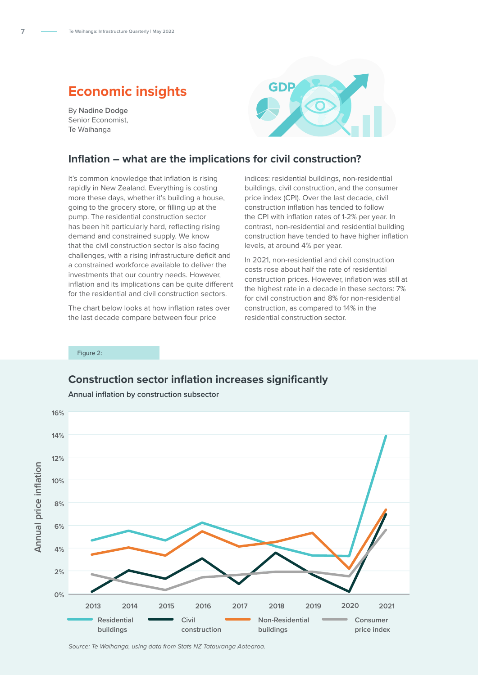## **Economic insights**

By **Nadine Dodge** Senior Economist, Te Waihanga



#### **Inflation – what are the implications for civil construction?**

It's common knowledge that inflation is rising rapidly in New Zealand. Everything is costing more these days, whether it's building a house, going to the grocery store, or filling up at the pump. The residential construction sector has been hit particularly hard, reflecting rising demand and constrained supply. We know that the civil construction sector is also facing challenges, with a rising infrastructure deficit and a constrained workforce available to deliver the investments that our country needs. However, inflation and its implications can be quite different for the residential and civil construction sectors.

The chart below looks at how inflation rates over the last decade compare between four price

indices: residential buildings, non-residential buildings, civil construction, and the consumer price index (CPI). Over the last decade, civil construction inflation has tended to follow the CPI with inflation rates of 1-2% per year. In contrast, non-residential and residential building construction have tended to have higher inflation levels, at around 4% per year.

In 2021, non-residential and civil construction costs rose about half the rate of residential construction prices. However, inflation was still at the highest rate in a decade in these sectors: 7% for civil construction and 8% for non-residential construction, as compared to 14% in the residential construction sector.

Figure 2:

#### **Construction sector inflation increases significantly**



**Annual inflation by construction subsector** 

<span id="page-6-0"></span>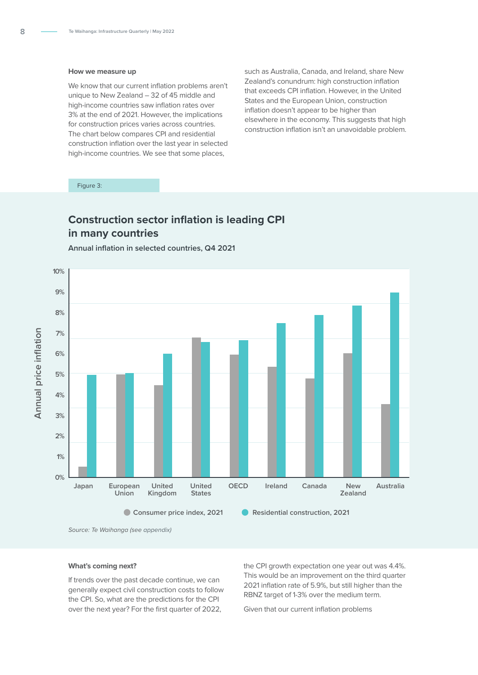#### **How we measure up**

We know that our current inflation problems aren't unique to New Zealand – 32 of 45 middle and high-income countries saw inflation rates over 3% at the end of 2021. However, the implications for construction prices varies across countries. The chart below compares CPI and residential construction inflation over the last year in selected high-income countries. We see that some places,

such as Australia, Canada, and Ireland, share New Zealand's conundrum: high construction inflation that exceeds CPI inflation. However, in the United States and the European Union, construction inflation doesn't appear to be higher than elsewhere in the economy. This suggests that high construction inflation isn't an unavoidable problem.

Figure 3:

## **Construction sector inflation is leading CPI in many countries**

**Annual inflation in selected countries, Q4 2021** 



*Source: Te Waihanga (see appendix)*

#### **What's coming next?**

If trends over the past decade continue, we can generally expect civil construction costs to follow the CPI. So, what are the predictions for the CPI over the next year? For the first quarter of 2022,

the CPI growth expectation one year out was 4.4%. This would be an improvement on the third quarter 2021 inflation rate of 5.9%, but still higher than the RBNZ target of 1-3% over the medium term.

Given that our current inflation problems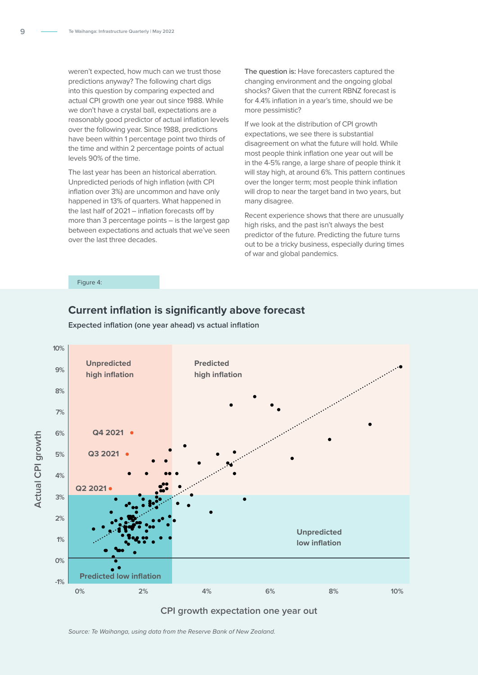weren't expected, how much can we trust those predictions anyway? The following chart digs into this question by comparing expected and actual CPI growth one year out since 1988. While we don't have a crystal ball, expectations are a reasonably good predictor of actual inflation levels over the following year. Since 1988, predictions have been within 1 percentage point two thirds of the time and within 2 percentage points of actual levels 90% of the time.

The last year has been an historical aberration. Unpredicted periods of high inflation (with CPI inflation over 3%) are uncommon and have only happened in 13% of quarters. What happened in the last half of 2021 – inflation forecasts off by more than 3 percentage points – is the largest gap between expectations and actuals that we've seen over the last three decades.

**The question is:** Have forecasters captured the changing environment and the ongoing global shocks? Given that the current RBNZ forecast is for 4.4% inflation in a year's time, should we be more pessimistic?

If we look at the distribution of CPI growth expectations, we see there is substantial disagreement on what the future will hold. While most people think inflation one year out will be in the 4-5% range, a large share of people think it will stay high, at around 6%. This pattern continues over the longer term; most people think inflation will drop to near the target band in two years, but many disagree.

Recent experience shows that there are unusually high risks, and the past isn't always the best predictor of the future. Predicting the future turns out to be a tricky business, especially during times of war and global pandemics.

Figure 4:

#### **Current inflation is significantly above forecast**



**Expected inflation (one year ahead) vs actual inflation**

**CPI growth expectation one year out**

*Source: Te Waihanga, using data from the Reserve Bank of New Zealand.*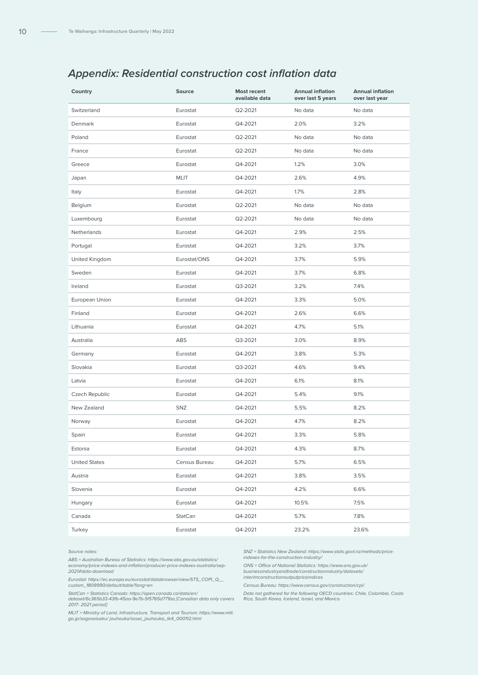## *Appendix: Residential construction cost inflation data*

| Country              | <b>Source</b> | <b>Most recent</b><br>available data | <b>Annual inflation</b><br>over last 5 years | <b>Annual inflation</b><br>over last year |
|----------------------|---------------|--------------------------------------|----------------------------------------------|-------------------------------------------|
| Switzerland          | Eurostat      | Q2-2021                              | No data                                      | No data                                   |
| Denmark              | Eurostat      | Q4-2021                              | 2.0%                                         | 3.2%                                      |
| Poland               | Eurostat      | Q2-2021                              | No data                                      | No data                                   |
| France               | Eurostat      | Q2-2021                              | No data                                      | No data                                   |
| Greece               | Eurostat      | Q4-2021                              | 1.2%                                         | 3.0%                                      |
| Japan                | <b>MLIT</b>   | Q4-2021                              | 2.6%                                         | 4.9%                                      |
| Italy                | Eurostat      | Q4-2021                              | 1.7%                                         | 2.8%                                      |
| Belgium              | Eurostat      | Q2-2021                              | No data                                      | No data                                   |
| Luxembourg           | Eurostat      | Q2-2021                              | No data                                      | No data                                   |
| Netherlands          | Eurostat      | Q4-2021                              | 2.9%                                         | 2.5%                                      |
| Portugal             | Eurostat      | Q4-2021                              | 3.2%                                         | 3.7%                                      |
| United Kingdom       | Eurostat/ONS  | Q4-2021                              | 3.7%                                         | 5.9%                                      |
| Sweden               | Eurostat      | Q4-2021                              | 3.7%                                         | 6.8%                                      |
| Ireland              | Eurostat      | Q3-2021                              | 3.2%                                         | 7.4%                                      |
| European Union       | Eurostat      | Q4-2021                              | 3.3%                                         | 5.0%                                      |
| Finland              | Eurostat      | Q4-2021                              | 2.6%                                         | 6.6%                                      |
| Lithuania            | Eurostat      | Q4-2021                              | 4.7%                                         | 5.1%                                      |
| Australia            | ABS           | Q3-2021                              | 3.0%                                         | 8.9%                                      |
| Germany              | Eurostat      | Q4-2021                              | 3.8%                                         | 5.3%                                      |
| Slovakia             | Eurostat      | Q3-2021                              | 4.6%                                         | 9.4%                                      |
| Latvia               | Eurostat      | Q4-2021                              | 6.1%                                         | 8.1%                                      |
| Czech Republic       | Eurostat      | Q4-2021                              | 5.4%                                         | 9.1%                                      |
| New Zealand          | SNZ           | Q4-2021                              | 5.5%                                         | 8.2%                                      |
| Norway               | Eurostat      | Q4-2021                              | 4.7%                                         | 8.2%                                      |
| Spain                | Eurostat      | Q4-2021                              | 3.3%                                         | 5.8%                                      |
| Estonia              | Eurostat      | Q4-2021                              | 4.3%                                         | 8.7%                                      |
| <b>United States</b> | Census Bureau | Q4-2021                              | 5.7%                                         | 6.5%                                      |
| Austria              | Eurostat      | Q4-2021                              | 3.8%                                         | 3.5%                                      |
| Slovenia             | Eurostat      | Q4-2021                              | 4.2%                                         | 6.6%                                      |
| Hungary              | Eurostat      | Q4-2021                              | 10.5%                                        | 7.5%                                      |
| Canada               | StatCan       | Q4-2021                              | 5.7%                                         | 7.8%                                      |
| Turkey               | Eurostat      | Q4-2021                              | 23.2%                                        | 23.6%                                     |

#### *Source notes:*

*ABS = Australian Bureau of Statistics: https://www.abs.gov.au/statistics/ economy/price-indexes-and-inflation/producer-price-indexes-australia/sep-2021#data-download*

*Eurostat: https://ec.europa.eu/eurostat/databrowser/view/STS\_COPI\_Q\_\_ custom\_1809990/default/table?lang=en* 

*StatCan = Statistics Canada: https://open.canada.ca/data/en/ dataset/6c365b33-43fb-45aa-9e7b-5f5765d771ba [Canadian data only covers 2017- 2021 period]*

*MLIT = Ministry of Land, Infrastructure, Transport and Tourism: https://www.mlit. go.jp/sogoseisaku/ jouhouka/sosei\_jouhouka\_tk4\_000112.html*

*SNZ = Statistics New Zealand: https://www.stats.govt.nz/methods/priceindexes-for-the-construction-industry/* 

*ONS = Office of National Statistics: https://www.ons.gov.uk/*

*businessindustryandtrade/constructionindustry/datasets/*

*interimconstructionoutputpriceindices* 

*Census Bureau: https://www.census.gov/construction/cpi/* 

*Data not gathered for the following OECD countries: Chile, Colombia, Costa Rica, South Korea, Iceland, Israel, and Mexico.*